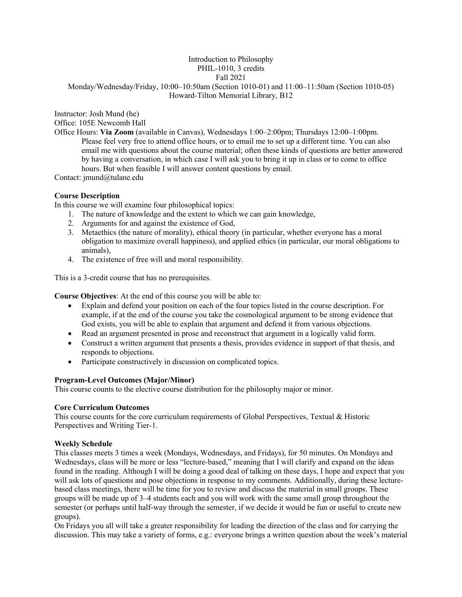## Introduction to Philosophy PHIL-1010, 3 credits Fall 2021 Monday/Wednesday/Friday, 10:00–10:50am (Section 1010-01) and 11:00–11:50am (Section 1010-05) Howard-Tilton Memorial Library, B12

Instructor: Josh Mund (he)

Office: 105E Newcomb Hall

Office Hours: **Via Zoom** (available in Canvas), Wednesdays 1:00–2:00pm; Thursdays 12:00–1:00pm. Please feel very free to attend office hours, or to email me to set up a different time. You can also email me with questions about the course material; often these kinds of questions are better answered by having a conversation, in which case I will ask you to bring it up in class or to come to office hours. But when feasible I will answer content questions by email.

Contact: jmund@tulane.edu

# **Course Description**

In this course we will examine four philosophical topics:

- 1. The nature of knowledge and the extent to which we can gain knowledge,
- 2. Arguments for and against the existence of God,
- 3. Metaethics (the nature of morality), ethical theory (in particular, whether everyone has a moral obligation to maximize overall happiness), and applied ethics (in particular, our moral obligations to animals),
- 4. The existence of free will and moral responsibility.

This is a 3-credit course that has no prerequisites.

**Course Objectives**: At the end of this course you will be able to:

- Explain and defend your position on each of the four topics listed in the course description. For example, if at the end of the course you take the cosmological argument to be strong evidence that God exists, you will be able to explain that argument and defend it from various objections.
- Read an argument presented in prose and reconstruct that argument in a logically valid form.
- Construct a written argument that presents a thesis, provides evidence in support of that thesis, and responds to objections.
- Participate constructively in discussion on complicated topics.

# **Program-Level Outcomes (Major/Minor)**

This course counts to the elective course distribution for the philosophy major or minor.

## **Core Curriculum Outcomes**

This course counts for the core curriculum requirements of Global Perspectives, Textual & Historic Perspectives and Writing Tier-1.

# **Weekly Schedule**

This classes meets 3 times a week (Mondays, Wednesdays, and Fridays), for 50 minutes. On Mondays and Wednesdays, class will be more or less "lecture-based," meaning that I will clarify and expand on the ideas found in the reading. Although I will be doing a good deal of talking on these days, I hope and expect that you will ask lots of questions and pose objections in response to my comments. Additionally, during these lecturebased class meetings, there will be time for you to review and discuss the material in small groups. These groups will be made up of 3–4 students each and you will work with the same small group throughout the semester (or perhaps until half-way through the semester, if we decide it would be fun or useful to create new groups).

On Fridays you all will take a greater responsibility for leading the direction of the class and for carrying the discussion. This may take a variety of forms, e.g.: everyone brings a written question about the week's material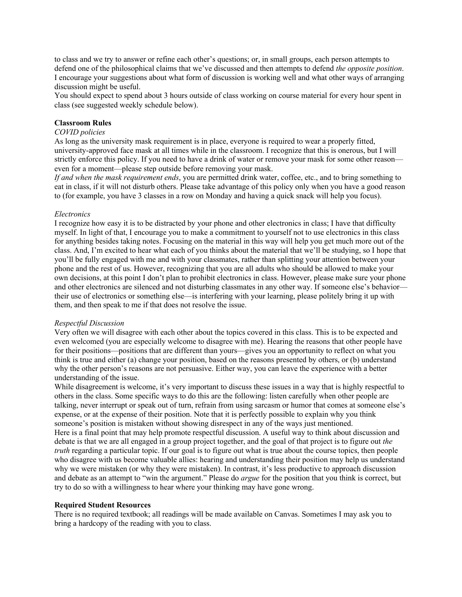to class and we try to answer or refine each other's questions; or, in small groups, each person attempts to defend one of the philosophical claims that we've discussed and then attempts to defend *the opposite position*. I encourage your suggestions about what form of discussion is working well and what other ways of arranging discussion might be useful.

You should expect to spend about 3 hours outside of class working on course material for every hour spent in class (see suggested weekly schedule below).

#### **Classroom Rules**

#### *COVID policies*

As long as the university mask requirement is in place, everyone is required to wear a properly fitted, university-approved face mask at all times while in the classroom. I recognize that this is onerous, but I will strictly enforce this policy. If you need to have a drink of water or remove your mask for some other reason even for a moment—please step outside before removing your mask.

*If and when the mask requirement ends*, you are permitted drink water, coffee, etc., and to bring something to eat in class, if it will not disturb others. Please take advantage of this policy only when you have a good reason to (for example, you have 3 classes in a row on Monday and having a quick snack will help you focus).

#### *Electronics*

I recognize how easy it is to be distracted by your phone and other electronics in class; I have that difficulty myself. In light of that, I encourage you to make a commitment to yourself not to use electronics in this class for anything besides taking notes. Focusing on the material in this way will help you get much more out of the class. And, I'm excited to hear what each of you thinks about the material that we'll be studying, so I hope that you'll be fully engaged with me and with your classmates, rather than splitting your attention between your phone and the rest of us. However, recognizing that you are all adults who should be allowed to make your own decisions, at this point I don't plan to prohibit electronics in class. However, please make sure your phone and other electronics are silenced and not disturbing classmates in any other way. If someone else's behaviortheir use of electronics or something else—is interfering with your learning, please politely bring it up with them, and then speak to me if that does not resolve the issue.

#### *Respectful Discussion*

Very often we will disagree with each other about the topics covered in this class. This is to be expected and even welcomed (you are especially welcome to disagree with me). Hearing the reasons that other people have for their positions—positions that are different than yours—gives you an opportunity to reflect on what you think is true and either (a) change your position, based on the reasons presented by others, or (b) understand why the other person's reasons are not persuasive. Either way, you can leave the experience with a better understanding of the issue.

While disagreement is welcome, it's very important to discuss these issues in a way that is highly respectful to others in the class. Some specific ways to do this are the following: listen carefully when other people are talking, never interrupt or speak out of turn, refrain from using sarcasm or humor that comes at someone else's expense, or at the expense of their position. Note that it is perfectly possible to explain why you think someone's position is mistaken without showing disrespect in any of the ways just mentioned.

Here is a final point that may help promote respectful discussion. A useful way to think about discussion and debate is that we are all engaged in a group project together, and the goal of that project is to figure out *the truth* regarding a particular topic. If our goal is to figure out what is true about the course topics, then people who disagree with us become valuable allies: hearing and understanding their position may help us understand why we were mistaken (or why they were mistaken). In contrast, it's less productive to approach discussion and debate as an attempt to "win the argument." Please do *argue* for the position that you think is correct, but try to do so with a willingness to hear where your thinking may have gone wrong.

#### **Required Student Resources**

There is no required textbook; all readings will be made available on Canvas. Sometimes I may ask you to bring a hardcopy of the reading with you to class.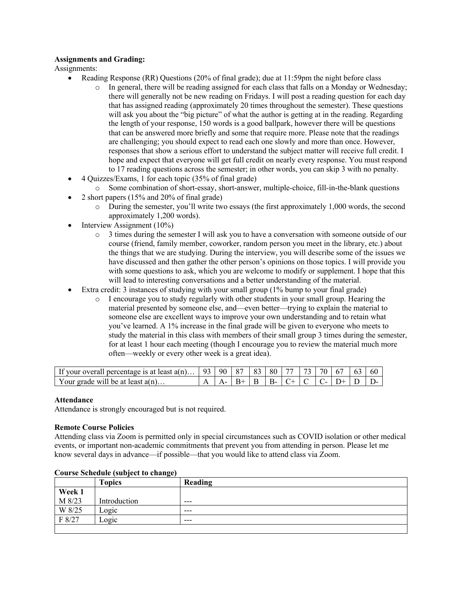## **Assignments and Grading:**

Assignments:

- Reading Response (RR) Questions (20% of final grade); due at 11:59pm the night before class
	- o In general, there will be reading assigned for each class that falls on a Monday or Wednesday; there will generally not be new reading on Fridays. I will post a reading question for each day that has assigned reading (approximately 20 times throughout the semester). These questions will ask you about the "big picture" of what the author is getting at in the reading. Regarding the length of your response, 150 words is a good ballpark, however there will be questions that can be answered more briefly and some that require more. Please note that the readings are challenging; you should expect to read each one slowly and more than once. However, responses that show a serious effort to understand the subject matter will receive full credit. I hope and expect that everyone will get full credit on nearly every response. You must respond to 17 reading questions across the semester; in other words, you can skip 3 with no penalty.
- 4 Quizzes/Exams, 1 for each topic (35% of final grade)
	- o Some combination of short-essay, short-answer, multiple-choice, fill-in-the-blank questions
- 2 short papers (15% and 20% of final grade)
	- o During the semester, you'll write two essays (the first approximately 1,000 words, the second approximately 1,200 words).
- Interview Assignment (10%)
	- o 3 times during the semester I will ask you to have a conversation with someone outside of our course (friend, family member, coworker, random person you meet in the library, etc.) about the things that we are studying. During the interview, you will describe some of the issues we have discussed and then gather the other person's opinions on those topics. I will provide you with some questions to ask, which you are welcome to modify or supplement. I hope that this will lead to interesting conversations and a better understanding of the material.
- Extra credit: 3 instances of studying with your small group (1% bump to your final grade)
	- o I encourage you to study regularly with other students in your small group. Hearing the material presented by someone else, and—even better—trying to explain the material to someone else are excellent ways to improve your own understanding and to retain what you've learned. A 1% increase in the final grade will be given to everyone who meets to study the material in this class with members of their small group 3 times during the semester, for at least 1 hour each meeting (though I encourage you to review the material much more often—weekly or every other week is a great idea).

| If your overall percentage is at least $a(n)$   93 |  | 90   87   83   80   77   73   70   67 |  |  |  | 163, 60 |  |
|----------------------------------------------------|--|---------------------------------------|--|--|--|---------|--|
| Your grade will be at least $a(n)$                 |  |                                       |  |  |  |         |  |

## **Attendance**

Attendance is strongly encouraged but is not required.

## **Remote Course Policies**

Attending class via Zoom is permitted only in special circumstances such as COVID isolation or other medical events, or important non-academic commitments that prevent you from attending in person. Please let me know several days in advance—if possible—that you would like to attend class via Zoom.

|        | <b>Topics</b> | Reading |
|--------|---------------|---------|
| Week 1 |               |         |
| M 8/23 | Introduction  | $--$    |
| W 8/25 | Logic         | $---$   |
| F 8/27 | Logic         | $--$    |
|        |               |         |

# **Course Schedule (subject to change)**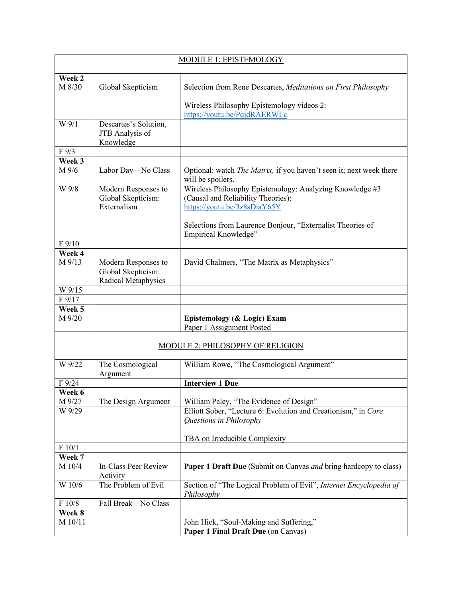| MODULE 1: EPISTEMOLOGY |                                                                  |                                                                                                                                |  |  |
|------------------------|------------------------------------------------------------------|--------------------------------------------------------------------------------------------------------------------------------|--|--|
| Week 2<br>M 8/30       | Global Skepticism                                                | Selection from Rene Descartes, Meditations on First Philosophy                                                                 |  |  |
|                        |                                                                  | Wireless Philosophy Epistemology videos 2:<br>https://youtu.be/PqjdRAERWLc                                                     |  |  |
| W 9/1                  | Descartes's Solution,<br>JTB Analysis of<br>Knowledge            |                                                                                                                                |  |  |
| F9/3                   |                                                                  |                                                                                                                                |  |  |
| Week 3                 |                                                                  |                                                                                                                                |  |  |
| M 9/6                  | Labor Day-No Class                                               | Optional: watch The Matrix, if you haven't seen it; next week there<br>will be spoilers.                                       |  |  |
| W 9/8                  | Modern Responses to<br>Global Skepticism:<br>Externalism         | Wireless Philosophy Epistemology: Analyzing Knowledge #3<br>(Causal and Reliability Theories):<br>https://youtu.be/3z8sDiaY65Y |  |  |
|                        |                                                                  | Selections from Laurence Bonjour, "Externalist Theories of<br>Empirical Knowledge"                                             |  |  |
| F 9/10                 |                                                                  |                                                                                                                                |  |  |
| Week 4                 |                                                                  |                                                                                                                                |  |  |
| M 9/13                 | Modern Responses to<br>Global Skepticism:<br>Radical Metaphysics | David Chalmers, "The Matrix as Metaphysics"                                                                                    |  |  |
| W 9/15                 |                                                                  |                                                                                                                                |  |  |
| F 9/17                 |                                                                  |                                                                                                                                |  |  |
| Week 5<br>M 9/20       |                                                                  | Epistemology (& Logic) Exam<br>Paper 1 Assignment Posted                                                                       |  |  |
|                        |                                                                  | MODULE 2: PHILOSOPHY OF RELIGION                                                                                               |  |  |
| W 9/22                 | The Cosmological<br>Argument                                     | William Rowe, "The Cosmological Argument"                                                                                      |  |  |
| $F\,9/24$              |                                                                  | <b>Interview 1 Due</b>                                                                                                         |  |  |
| Week 6                 |                                                                  |                                                                                                                                |  |  |
| M 9/27                 | The Design Argument                                              | William Paley, "The Evidence of Design"                                                                                        |  |  |
| W 9/29                 |                                                                  | Elliott Sober, "Lecture 6: Evolution and Creationism," in Core<br>Questions in Philosophy                                      |  |  |
|                        |                                                                  | TBA on Irreducible Complexity                                                                                                  |  |  |
| F 10/1                 |                                                                  |                                                                                                                                |  |  |
| Week 7                 |                                                                  |                                                                                                                                |  |  |
| M 10/4                 | In-Class Peer Review<br>Activity                                 | Paper 1 Draft Due (Submit on Canvas and bring hardcopy to class)                                                               |  |  |
| W 10/6                 | The Problem of Evil                                              | Section of "The Logical Problem of Evil", Internet Encyclopedia of<br>Philosophy                                               |  |  |
| F 10/8                 | Fall Break-No Class                                              |                                                                                                                                |  |  |
| Week 8<br>M 10/11      |                                                                  | John Hick, "Soul-Making and Suffering,"<br>Paper 1 Final Draft Due (on Canvas)                                                 |  |  |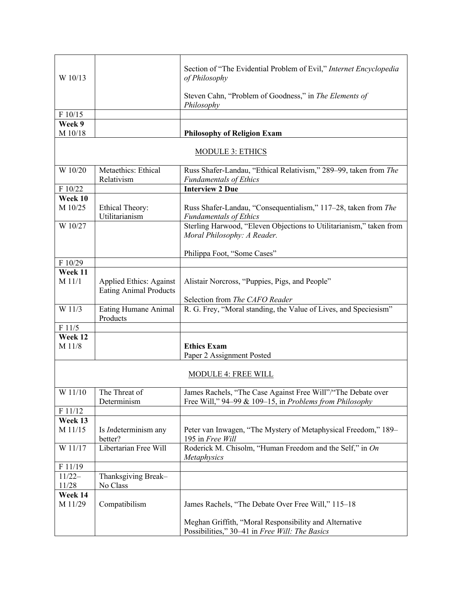| W 10/13            |                                                                 | Section of "The Evidential Problem of Evil," Internet Encyclopedia<br>of Philosophy                                     |  |  |  |
|--------------------|-----------------------------------------------------------------|-------------------------------------------------------------------------------------------------------------------------|--|--|--|
|                    |                                                                 | Steven Cahn, "Problem of Goodness," in The Elements of<br>Philosophy                                                    |  |  |  |
| F 10/15            |                                                                 |                                                                                                                         |  |  |  |
| Week 9             |                                                                 |                                                                                                                         |  |  |  |
| M 10/18            |                                                                 | <b>Philosophy of Religion Exam</b>                                                                                      |  |  |  |
|                    | <b>MODULE 3: ETHICS</b>                                         |                                                                                                                         |  |  |  |
| W 10/20            | Metaethics: Ethical                                             | Russ Shafer-Landau, "Ethical Relativism," 289-99, taken from The                                                        |  |  |  |
|                    | Relativism                                                      | <b>Fundamentals of Ethics</b>                                                                                           |  |  |  |
| F 10/22            |                                                                 | <b>Interview 2 Due</b>                                                                                                  |  |  |  |
| Week 10            |                                                                 |                                                                                                                         |  |  |  |
| M 10/25            | <b>Ethical Theory:</b><br>Utilitarianism                        | Russ Shafer-Landau, "Consequentialism," 117-28, taken from The<br><b>Fundamentals of Ethics</b>                         |  |  |  |
| W 10/27            |                                                                 | Sterling Harwood, "Eleven Objections to Utilitarianism," taken from<br>Moral Philosophy: A Reader.                      |  |  |  |
|                    |                                                                 | Philippa Foot, "Some Cases"                                                                                             |  |  |  |
| F 10/29            |                                                                 |                                                                                                                         |  |  |  |
| Week 11<br>M 11/1  | <b>Applied Ethics: Against</b><br><b>Eating Animal Products</b> | Alistair Norcross, "Puppies, Pigs, and People"                                                                          |  |  |  |
|                    |                                                                 | Selection from The CAFO Reader                                                                                          |  |  |  |
| W 11/3             | Eating Humane Animal<br>Products                                | R. G. Frey, "Moral standing, the Value of Lives, and Speciesism"                                                        |  |  |  |
| F 11/5             |                                                                 |                                                                                                                         |  |  |  |
| Week 12            |                                                                 |                                                                                                                         |  |  |  |
| M 11/8             |                                                                 | <b>Ethics Exam</b><br>Paper 2 Assignment Posted                                                                         |  |  |  |
|                    |                                                                 | <b>MODULE 4: FREE WILL</b>                                                                                              |  |  |  |
|                    | W $11/10$ The Threat of<br>Determinism                          | James Rachels, "The Case Against Free Will"/"The Debate over<br>Free Will," 94–99 & 109–15, in Problems from Philosophy |  |  |  |
| F 11/12            |                                                                 |                                                                                                                         |  |  |  |
| Week 13            |                                                                 |                                                                                                                         |  |  |  |
| M 11/15            | Is <i>Indeterminism</i> any<br>better?                          | Peter van Inwagen, "The Mystery of Metaphysical Freedom," 189–<br>195 in Free Will                                      |  |  |  |
| W 11/17            | Libertarian Free Will                                           | Roderick M. Chisolm, "Human Freedom and the Self," in On<br>Metaphysics                                                 |  |  |  |
| F 11/19            |                                                                 |                                                                                                                         |  |  |  |
| $11/22-$<br>11/28  | Thanksgiving Break-<br>No Class                                 |                                                                                                                         |  |  |  |
| Week 14<br>M 11/29 | Compatibilism                                                   | James Rachels, "The Debate Over Free Will," 115-18                                                                      |  |  |  |
|                    |                                                                 | Meghan Griffith, "Moral Responsibility and Alternative<br>Possibilities," 30-41 in Free Will: The Basics                |  |  |  |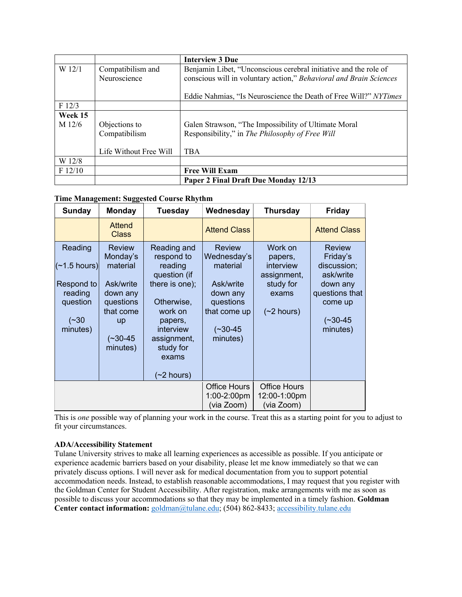|         |                        | <b>Interview 3 Due</b>                                             |
|---------|------------------------|--------------------------------------------------------------------|
| W 12/1  | Compatibilism and      | Benjamin Libet, "Unconscious cerebral initiative and the role of   |
|         | Neuroscience           | conscious will in voluntary action," Behavioral and Brain Sciences |
|         |                        |                                                                    |
|         |                        | Eddie Nahmias, "Is Neuroscience the Death of Free Will?" NYTimes   |
| F12/3   |                        |                                                                    |
| Week 15 |                        |                                                                    |
| M 12/6  | Objections to          | Galen Strawson, "The Impossibility of Ultimate Moral               |
|         | Compatibilism          | Responsibility," in The Philosophy of Free Will                    |
|         |                        |                                                                    |
|         | Life Without Free Will | <b>TBA</b>                                                         |
| W 12/8  |                        |                                                                    |
| F12/10  |                        | <b>Free Will Exam</b>                                              |
|         |                        | Paper 2 Final Draft Due Monday 12/13                               |

# **Time Management: Suggested Course Rhythm**

| <b>Sunday</b>                                                                            | <b>Monday</b>                                                                                                                   | <b>Tuesday</b>                                                                                                                                                                   | Wednesday                                                                                                                | <b>Thursday</b>                                                                     | <b>Friday</b>                                                                                                            |
|------------------------------------------------------------------------------------------|---------------------------------------------------------------------------------------------------------------------------------|----------------------------------------------------------------------------------------------------------------------------------------------------------------------------------|--------------------------------------------------------------------------------------------------------------------------|-------------------------------------------------------------------------------------|--------------------------------------------------------------------------------------------------------------------------|
|                                                                                          | <b>Attend</b><br><b>Class</b>                                                                                                   |                                                                                                                                                                                  | <b>Attend Class</b>                                                                                                      |                                                                                     | <b>Attend Class</b>                                                                                                      |
| Reading<br>$\sim$ 1.5 hours)<br>Respond to<br>reading<br>question<br>$(-30)$<br>minutes) | <b>Review</b><br>Monday's<br>material<br>Ask/write<br>down any<br>questions<br>that come<br><b>up</b><br>$(-30-45)$<br>minutes) | Reading and<br>respond to<br>reading<br>question (if<br>there is one);<br>Otherwise,<br>work on<br>papers,<br>interview<br>assignment,<br>study for<br>exams<br>$($ ~2 hours $)$ | <b>Review</b><br>Wednesday's<br>material<br>Ask/write<br>down any<br>questions<br>that come up<br>$(-30-45)$<br>minutes) | Work on<br>papers,<br>interview<br>assignment,<br>study for<br>exams<br>$(2$ hours) | <b>Review</b><br>Friday's<br>discussion;<br>ask/write<br>down any<br>questions that<br>come up<br>$(-30-45)$<br>minutes) |
|                                                                                          |                                                                                                                                 |                                                                                                                                                                                  | <b>Office Hours</b><br>1:00-2:00pm<br>(via Zoom)                                                                         | <b>Office Hours</b><br>12:00-1:00pm<br>(via Zoom)                                   |                                                                                                                          |

This is *one* possible way of planning your work in the course. Treat this as a starting point for you to adjust to fit your circumstances.

# **ADA/Accessibility Statement**

Tulane University strives to make all learning experiences as accessible as possible. If you anticipate or experience academic barriers based on your disability, please let me know immediately so that we can privately discuss options. I will never ask for medical documentation from you to support potential accommodation needs. Instead, to establish reasonable accommodations, I may request that you register with the Goldman Center for Student Accessibility. After registration, make arrangements with me as soon as possible to discuss your accommodations so that they may be implemented in a timely fashion. **Goldman Center contact information:** goldman@tulane.edu; (504) 862-8433; accessibility.tulane.edu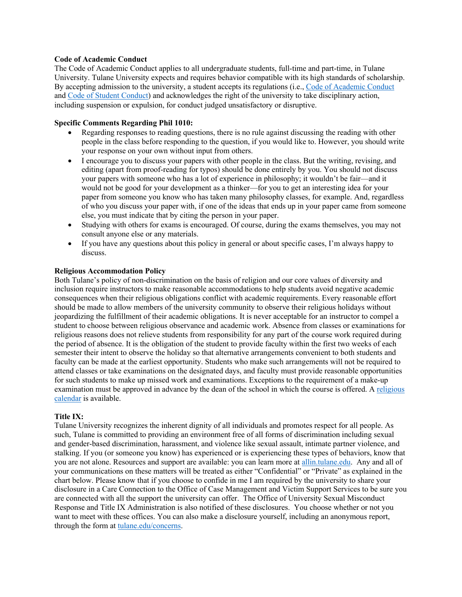## **Code of Academic Conduct**

The Code of Academic Conduct applies to all undergraduate students, full-time and part-time, in Tulane University. Tulane University expects and requires behavior compatible with its high standards of scholarship. By accepting admission to the university, a student accepts its regulations (i.e., Code of Academic Conduct and Code of Student Conduct) and acknowledges the right of the university to take disciplinary action, including suspension or expulsion, for conduct judged unsatisfactory or disruptive.

## **Specific Comments Regarding Phil 1010:**

- Regarding responses to reading questions, there is no rule against discussing the reading with other people in the class before responding to the question, if you would like to. However, you should write your response on your own without input from others.
- I encourage you to discuss your papers with other people in the class. But the writing, revising, and editing (apart from proof-reading for typos) should be done entirely by you. You should not discuss your papers with someone who has a lot of experience in philosophy; it wouldn't be fair—and it would not be good for your development as a thinker—for you to get an interesting idea for your paper from someone you know who has taken many philosophy classes, for example. And, regardless of who you discuss your paper with, if one of the ideas that ends up in your paper came from someone else, you must indicate that by citing the person in your paper.
- Studying with others for exams is encouraged. Of course, during the exams themselves, you may not consult anyone else or any materials.
- If you have any questions about this policy in general or about specific cases, I'm always happy to discuss.

## **Religious Accommodation Policy**

Both Tulane's policy of non-discrimination on the basis of religion and our core values of diversity and inclusion require instructors to make reasonable accommodations to help students avoid negative academic consequences when their religious obligations conflict with academic requirements. Every reasonable effort should be made to allow members of the university community to observe their religious holidays without jeopardizing the fulfillment of their academic obligations. It is never acceptable for an instructor to compel a student to choose between religious observance and academic work. Absence from classes or examinations for religious reasons does not relieve students from responsibility for any part of the course work required during the period of absence. It is the obligation of the student to provide faculty within the first two weeks of each semester their intent to observe the holiday so that alternative arrangements convenient to both students and faculty can be made at the earliest opportunity. Students who make such arrangements will not be required to attend classes or take examinations on the designated days, and faculty must provide reasonable opportunities for such students to make up missed work and examinations. Exceptions to the requirement of a make-up examination must be approved in advance by the dean of the school in which the course is offered. A religious calendar is available.

## **Title IX:**

Tulane University recognizes the inherent dignity of all individuals and promotes respect for all people. As such, Tulane is committed to providing an environment free of all forms of discrimination including sexual and gender-based discrimination, harassment, and violence like sexual assault, intimate partner violence, and stalking. If you (or someone you know) has experienced or is experiencing these types of behaviors, know that you are not alone. Resources and support are available: you can learn more at allin.tulane.edu. Any and all of your communications on these matters will be treated as either "Confidential" or "Private" as explained in the chart below. Please know that if you choose to confide in me I am required by the university to share your disclosure in a Care Connection to the Office of Case Management and Victim Support Services to be sure you are connected with all the support the university can offer. The Office of University Sexual Misconduct Response and Title IX Administration is also notified of these disclosures. You choose whether or not you want to meet with these offices. You can also make a disclosure yourself, including an anonymous report, through the form at tulane.edu/concerns.